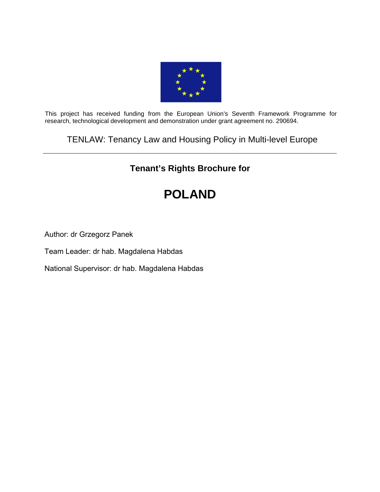

This project has received funding from the European Union's Seventh Framework Programme for research, technological development and demonstration under grant agreement no. 290694.

TENLAW: Tenancy Law and Housing Policy in Multi-level Europe

# **Tenant's Rights Brochure for**

# **POLAND**

Author: dr Grzegorz Panek

Team Leader: dr hab. Magdalena Habdas

National Supervisor: dr hab. Magdalena Habdas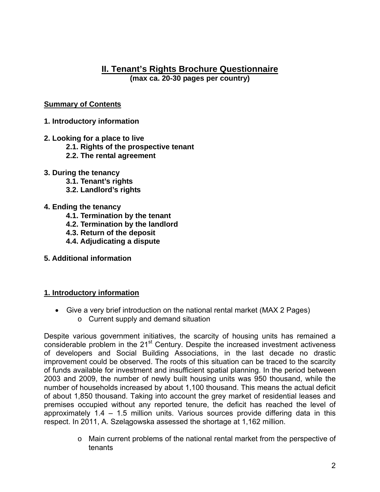# **II. Tenant's Rights Brochure Questionnaire**

**(max ca. 20-30 pages per country)** 

## **Summary of Contents**

- **1. Introductory information**
- **2. Looking for a place to live** 
	- **2.1. Rights of the prospective tenant**
	- **2.2. The rental agreement**
- **3. During the tenancy** 
	- **3.1. Tenant's rights**
	- **3.2. Landlord's rights**

#### **4. Ending the tenancy**

- **4.1. Termination by the tenant**
- **4.2. Termination by the landlord**
- **4.3. Return of the deposit**
- **4.4. Adjudicating a dispute**
- **5. Additional information**

#### **1. Introductory information**

 Give a very brief introduction on the national rental market (MAX 2 Pages) o Current supply and demand situation

Despite various government initiatives, the scarcity of housing units has remained a considerable problem in the 21<sup>st</sup> Century. Despite the increased investment activeness of developers and Social Building Associations, in the last decade no drastic improvement could be observed. The roots of this situation can be traced to the scarcity of funds available for investment and insufficient spatial planning. In the period between 2003 and 2009, the number of newly built housing units was 950 thousand, while the number of households increased by about 1,100 thousand. This means the actual deficit of about 1,850 thousand. Taking into account the grey market of residential leases and premises occupied without any reported tenure, the deficit has reached the level of approximately 1.4 – 1.5 million units. Various sources provide differing data in this respect. In 2011, A. Szelągowska assessed the shortage at 1,162 million.

> o Main current problems of the national rental market from the perspective of tenants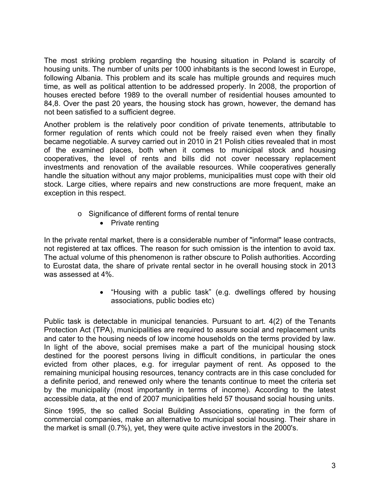The most striking problem regarding the housing situation in Poland is scarcity of housing units. The number of units per 1000 inhabitants is the second lowest in Europe, following Albania. This problem and its scale has multiple grounds and requires much time, as well as political attention to be addressed properly. In 2008, the proportion of houses erected before 1989 to the overall number of residential houses amounted to 84,8. Over the past 20 years, the housing stock has grown, however, the demand has not been satisfied to a sufficient degree.

Another problem is the relatively poor condition of private tenements, attributable to former regulation of rents which could not be freely raised even when they finally became negotiable. A survey carried out in 2010 in 21 Polish cities revealed that in most of the examined places, both when it comes to municipal stock and housing cooperatives, the level of rents and bills did not cover necessary replacement investments and renovation of the available resources. While cooperatives generally handle the situation without any major problems, municipalities must cope with their old stock. Large cities, where repairs and new constructions are more frequent, make an exception in this respect.

- o Significance of different forms of rental tenure
	- Private renting

In the private rental market, there is a considerable number of "informal" lease contracts, not registered at tax offices. The reason for such omission is the intention to avoid tax. The actual volume of this phenomenon is rather obscure to Polish authorities. According to Eurostat data, the share of private rental sector in he overall housing stock in 2013 was assessed at 4%.

> "Housing with a public task" (e.g. dwellings offered by housing associations, public bodies etc)

Public task is detectable in municipal tenancies. Pursuant to art. 4(2) of the Tenants Protection Act (TPA), municipalities are required to assure social and replacement units and cater to the housing needs of low income households on the terms provided by law. In light of the above, social premises make a part of the municipal housing stock destined for the poorest persons living in difficult conditions, in particular the ones evicted from other places, e.g. for irregular payment of rent. As opposed to the remaining municipal housing resources, tenancy contracts are in this case concluded for a definite period, and renewed only where the tenants continue to meet the criteria set by the municipality (most importantly in terms of income). According to the latest accessible data, at the end of 2007 municipalities held 57 thousand social housing units.

Since 1995, the so called Social Building Associations, operating in the form of commercial companies, make an alternative to municipal social housing. Their share in the market is small (0.7%), yet, they were quite active investors in the 2000's.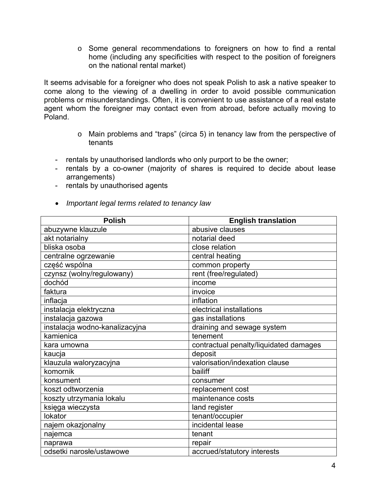o Some general recommendations to foreigners on how to find a rental home (including any specificities with respect to the position of foreigners on the national rental market)

It seems advisable for a foreigner who does not speak Polish to ask a native speaker to come along to the viewing of a dwelling in order to avoid possible communication problems or misunderstandings. Often, it is convenient to use assistance of a real estate agent whom the foreigner may contact even from abroad, before actually moving to Poland.

- o Main problems and "traps" (circa 5) in tenancy law from the perspective of tenants
- rentals by unauthorised landlords who only purport to be the owner;
- rentals by a co-owner (majority of shares is required to decide about lease arrangements)
- rentals by unauthorised agents
- *Important legal terms related to tenancy law*

| <b>Polish</b>                  | <b>English translation</b>             |
|--------------------------------|----------------------------------------|
| abuzywne klauzule              | abusive clauses                        |
| akt notarialny                 | notarial deed                          |
| bliska osoba                   | close relation                         |
| centralne ogrzewanie           | central heating                        |
| część wspólna                  | common property                        |
| czynsz (wolny/regulowany)      | rent (free/regulated)                  |
| dochód                         | income                                 |
| faktura                        | invoice                                |
| inflacja                       | inflation                              |
| instalacja elektryczna         | electrical installations               |
| instalacja gazowa              | gas installations                      |
| instalacja wodno-kanalizacyjna | draining and sewage system             |
| kamienica                      | tenement                               |
| kara umowna                    | contractual penalty/liquidated damages |
| kaucja                         | deposit                                |
| klauzula waloryzacyjna         | valorisation/indexation clause         |
| komornik                       | bailiff                                |
| konsument                      | consumer                               |
| koszt odtworzenia              | replacement cost                       |
| koszty utrzymania lokalu       | maintenance costs                      |
| księga wieczysta               | land register                          |
| lokator                        | tenant/occupier                        |
| najem okazjonalny              | incidental lease                       |
| najemca                        | tenant                                 |
| naprawa                        | repair                                 |
| odsetki narosłe/ustawowe       | accrued/statutory interests            |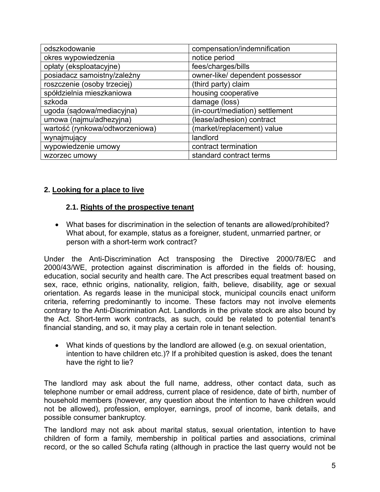| odszkodowanie                   | compensation/indemnification    |
|---------------------------------|---------------------------------|
| okres wypowiedzenia             | notice period                   |
| opłaty (eksploatacyjne)         | fees/charges/bills              |
| posiadacz samoistny/zależny     | owner-like/ dependent possessor |
| roszczenie (osoby trzeciej)     | (third party) claim             |
| spółdzielnia mieszkaniowa       | housing cooperative             |
| szkoda                          | damage (loss)                   |
| ugoda (sądowa/mediacyjna)       | (in-court/mediation) settlement |
| umowa (najmu/adhezyjna)         | (lease/adhesion) contract       |
| wartość (rynkowa/odtworzeniowa) | (market/replacement) value      |
| wynajmujący                     | landlord                        |
| wypowiedzenie umowy             | contract termination            |
| wzorzec umowy                   | standard contract terms         |

#### **2. Looking for a place to live**

#### **2.1. Rights of the prospective tenant**

 What bases for discrimination in the selection of tenants are allowed/prohibited? What about, for example, status as a foreigner, student, unmarried partner, or person with a short-term work contract?

Under the Anti-Discrimination Act transposing the Directive 2000/78/EC and 2000/43/WE, protection against discrimination is afforded in the fields of: housing, education, social security and health care. The Act prescribes equal treatment based on sex, race, ethnic origins, nationality, religion, faith, believe, disability, age or sexual orientation. As regards lease in the municipal stock, municipal councils enact uniform criteria, referring predominantly to income. These factors may not involve elements contrary to the Anti-Discrimination Act. Landlords in the private stock are also bound by the Act. Short-term work contracts, as such, could be related to potential tenant's financial standing, and so, it may play a certain role in tenant selection.

 What kinds of questions by the landlord are allowed (e.g. on sexual orientation, intention to have children etc.)? If a prohibited question is asked, does the tenant have the right to lie?

The landlord may ask about the full name, address, other contact data, such as telephone number or email address, current place of residence, date of birth, number of household members (however, any question about the intention to have children would not be allowed), profession, employer, earnings, proof of income, bank details, and possible consumer bankruptcy.

The landlord may not ask about marital status, sexual orientation, intention to have children of form a family, membership in political parties and associations, criminal record, or the so called Schufa rating (although in practice the last querry would not be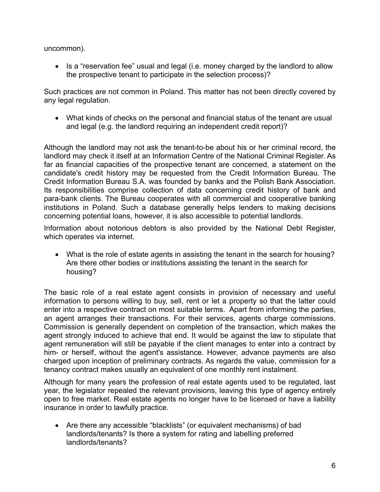uncommon).

• Is a "reservation fee" usual and legal (i.e. money charged by the landlord to allow the prospective tenant to participate in the selection process)?

Such practices are not common in Poland. This matter has not been directly covered by any legal regulation.

 What kinds of checks on the personal and financial status of the tenant are usual and legal (e.g. the landlord requiring an independent credit report)?

Although the landlord may not ask the tenant-to-be about his or her criminal record, the landlord may check it itself at an Information Centre of the National Criminal Register. As far as financial capacities of the prospective tenant are concerned, a statement on the candidate's credit history may be requested from the Credit Information Bureau. The Credit Information Bureau S.A. was founded by banks and the Polish Bank Association. Its responsibilities comprise collection of data concerning credit history of bank and para-bank clients. The Bureau cooperates with all commercial and cooperative banking institutions in Poland. Such a database generally helps lenders to making decisions concerning potential loans, however, it is also accessible to potential landlords.

Information about notorious debtors is also provided by the National Debt Register, which operates via internet.

 What is the role of estate agents in assisting the tenant in the search for housing? Are there other bodies or institutions assisting the tenant in the search for housing?

The basic role of a real estate agent consists in provision of necessary and useful information to persons willing to buy, sell, rent or let a property so that the latter could enter into a respective contract on most suitable terms. Apart from informing the parties, an agent arranges their transactions. For their services, agents charge commissions. Commission is generally dependent on completion of the transaction, which makes the agent strongly induced to achieve that end. It would be against the law to stipulate that agent remuneration will still be payable if the client manages to enter into a contract by him- or herself, without the agent's assistance. However, advance payments are also charged upon inception of preliminary contracts. As regards the value, commission for a tenancy contract makes usually an equivalent of one monthly rent instalment.

Although for many years the profession of real estate agents used to be regulated, last year, the legislator repealed the relevant provisions, leaving this type of agency entirely open to free market. Real estate agents no longer have to be licensed or have a liability insurance in order to lawfully practice.

 Are there any accessible "blacklists" (or equivalent mechanisms) of bad landlords/tenants? Is there a system for rating and labelling preferred landlords/tenants?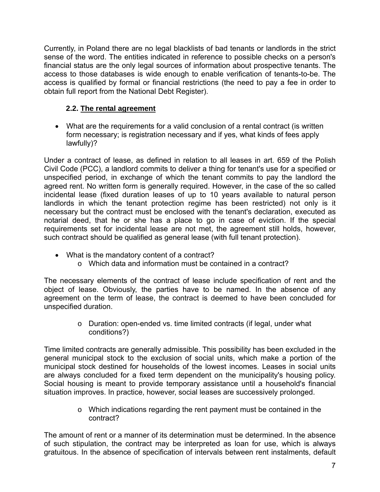Currently, in Poland there are no legal blacklists of bad tenants or landlords in the strict sense of the word. The entities indicated in reference to possible checks on a person's financial status are the only legal sources of information about prospective tenants. The access to those databases is wide enough to enable verification of tenants-to-be. The access is qualified by formal or financial restrictions (the need to pay a fee in order to obtain full report from the National Debt Register).

# **2.2. The rental agreement**

 What are the requirements for a valid conclusion of a rental contract (is written form necessary; is registration necessary and if yes, what kinds of fees apply lawfully)?

Under a contract of lease, as defined in relation to all leases in art. 659 of the Polish Civil Code (PCC), a landlord commits to deliver a thing for tenant's use for a specified or unspecified period, in exchange of which the tenant commits to pay the landlord the agreed rent. No written form is generally required. However, in the case of the so called incidental lease (fixed duration leases of up to 10 years available to natural person landlords in which the tenant protection regime has been restricted) not only is it necessary but the contract must be enclosed with the tenant's declaration, executed as notarial deed, that he or she has a place to go in case of eviction. If the special requirements set for incidental lease are not met, the agreement still holds, however, such contract should be qualified as general lease (with full tenant protection).

- What is the mandatory content of a contract?
	- o Which data and information must be contained in a contract?

The necessary elements of the contract of lease include specification of rent and the object of lease. Obviously, the parties have to be named. In the absence of any agreement on the term of lease, the contract is deemed to have been concluded for unspecified duration.

> o Duration: open-ended vs. time limited contracts (if legal, under what conditions?)

Time limited contracts are generally admissible. This possibility has been excluded in the general municipal stock to the exclusion of social units, which make a portion of the municipal stock destined for households of the lowest incomes. Leases in social units are always concluded for a fixed term dependent on the municipality's housing policy. Social housing is meant to provide temporary assistance until a household's financial situation improves. In practice, however, social leases are successively prolonged.

> o Which indications regarding the rent payment must be contained in the contract?

The amount of rent or a manner of its determination must be determined. In the absence of such stipulation, the contract may be interpreted as loan for use, which is always gratuitous. In the absence of specification of intervals between rent instalments, default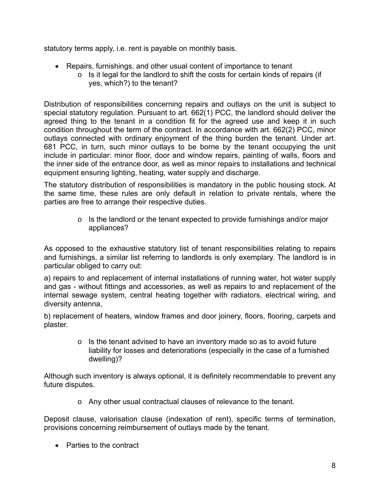statutory terms apply, i.e. rent is payable on monthly basis.

- Repairs, furnishings, and other usual content of importance to tenant
	- o Is it legal for the landlord to shift the costs for certain kinds of repairs (if yes, which?) to the tenant?

Distribution of responsibilities concerning repairs and outlays on the unit is subject to special statutory regulation. Pursuant to art. 662(1) PCC, the landlord should deliver the agreed thing to the tenant in a condition fit for the agreed use and keep it in such condition throughout the term of the contract. In accordance with art. 662(2) PCC, minor outlays connected with ordinary enjoyment of the thing burden the tenant. Under art. 681 PCC, in turn, such minor outlays to be borne by the tenant occupying the unit include in particular: minor floor, door and window repairs, painting of walls, floors and the inner side of the entrance door, as well as minor repairs to installations and technical equipment ensuring lighting, heating, water supply and discharge.

The statutory distribution of responsibilities is mandatory in the public housing stock. At the same time, these rules are only default in relation to private rentals, where the parties are free to arrange their respective duties.

> o Is the landlord or the tenant expected to provide furnishings and/or major appliances?

As opposed to the exhaustive statutory list of tenant responsibilities relating to repairs and furnishings, a similar list referring to landlords is only exemplary. The landlord is in particular obliged to carry out:

a) repairs to and replacement of internal installations of running water, hot water supply and gas - without fittings and accessories, as well as repairs to and replacement of the internal sewage system, central heating together with radiators, electrical wiring, and diversity antenna,

b) replacement of heaters, window frames and door joinery, floors, flooring, carpets and plaster.

> o Is the tenant advised to have an inventory made so as to avoid future liability for losses and deteriorations (especially in the case of a furnished dwelling)?

Although such inventory is always optional, it is definitely recommendable to prevent any future disputes.

o Any other usual contractual clauses of relevance to the tenant.

Deposit clause, valorisation clause (indexation of rent), specific terms of termination, provisions concerning reimbursement of outlays made by the tenant.

• Parties to the contract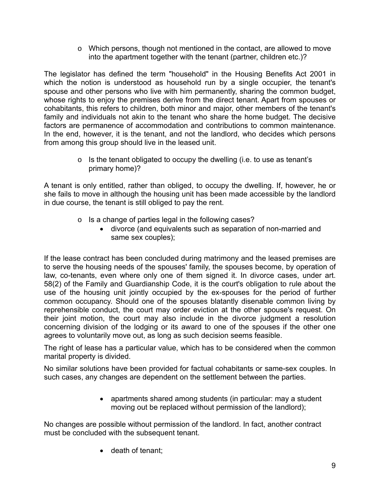o Which persons, though not mentioned in the contact, are allowed to move into the apartment together with the tenant (partner, children etc.)?

The legislator has defined the term "household" in the Housing Benefits Act 2001 in which the notion is understood as household run by a single occupier, the tenant's spouse and other persons who live with him permanently, sharing the common budget, whose rights to enjoy the premises derive from the direct tenant. Apart from spouses or cohabitants, this refers to children, both minor and major, other members of the tenant's family and individuals not akin to the tenant who share the home budget. The decisive factors are permanence of accommodation and contributions to common maintenance. In the end, however, it is the tenant, and not the landlord, who decides which persons from among this group should live in the leased unit.

> o Is the tenant obligated to occupy the dwelling (i.e. to use as tenant's primary home)?

A tenant is only entitled, rather than obliged, to occupy the dwelling. If, however, he or she fails to move in although the housing unit has been made accessible by the landlord in due course, the tenant is still obliged to pay the rent.

- o Is a change of parties legal in the following cases?
	- divorce (and equivalents such as separation of non-married and same sex couples);

If the lease contract has been concluded during matrimony and the leased premises are to serve the housing needs of the spouses' family, the spouses become, by operation of law, co-tenants, even where only one of them signed it. In divorce cases, under art. 58(2) of the Family and Guardianship Code, it is the court's obligation to rule about the use of the housing unit jointly occupied by the ex-spouses for the period of further common occupancy. Should one of the spouses blatantly disenable common living by reprehensible conduct, the court may order eviction at the other spouse's request. On their joint motion, the court may also include in the divorce judgment a resolution concerning division of the lodging or its award to one of the spouses if the other one agrees to voluntarily move out, as long as such decision seems feasible.

The right of lease has a particular value, which has to be considered when the common marital property is divided.

No similar solutions have been provided for factual cohabitants or same-sex couples. In such cases, any changes are dependent on the settlement between the parties.

> • apartments shared among students (in particular: may a student moving out be replaced without permission of the landlord);

No changes are possible without permission of the landlord. In fact, another contract must be concluded with the subsequent tenant.

• death of tenant;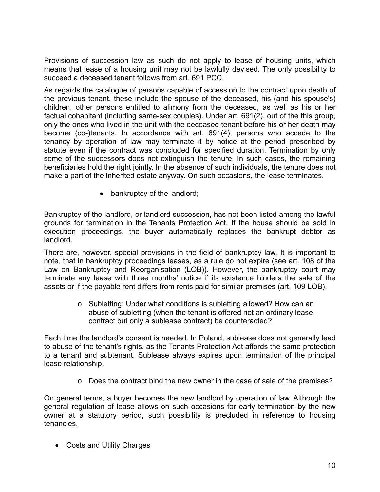Provisions of succession law as such do not apply to lease of housing units, which means that lease of a housing unit may not be lawfully devised. The only possibility to succeed a deceased tenant follows from art. 691 PCC.

As regards the catalogue of persons capable of accession to the contract upon death of the previous tenant, these include the spouse of the deceased, his (and his spouse's) children, other persons entitled to alimony from the deceased, as well as his or her factual cohabitant (including same-sex couples). Under art. 691(2), out of the this group, only the ones who lived in the unit with the deceased tenant before his or her death may become (co-)tenants. In accordance with art. 691(4), persons who accede to the tenancy by operation of law may terminate it by notice at the period prescribed by statute even if the contract was concluded for specified duration. Termination by only some of the successors does not extinguish the tenure. In such cases, the remaining beneficiaries hold the right jointly. In the absence of such individuals, the tenure does not make a part of the inherited estate anyway. On such occasions, the lease terminates.

• bankruptcy of the landlord;

Bankruptcy of the landlord, or landlord succession, has not been listed among the lawful grounds for termination in the Tenants Protection Act. If the house should be sold in execution proceedings, the buyer automatically replaces the bankrupt debtor as landlord.

There are, however, special provisions in the field of bankruptcy law. It is important to note, that in bankruptcy proceedings leases, as a rule do not expire (see art. 108 of the Law on Bankruptcy and Reorganisation (LOB)). However, the bankruptcy court may terminate any lease with three months' notice if its existence hinders the sale of the assets or if the payable rent differs from rents paid for similar premises (art. 109 LOB).

> o Subletting: Under what conditions is subletting allowed? How can an abuse of subletting (when the tenant is offered not an ordinary lease contract but only a sublease contract) be counteracted?

Each time the landlord's consent is needed. In Poland, sublease does not generally lead to abuse of the tenant's rights, as the Tenants Protection Act affords the same protection to a tenant and subtenant. Sublease always expires upon termination of the principal lease relationship.

o Does the contract bind the new owner in the case of sale of the premises?

On general terms, a buyer becomes the new landlord by operation of law. Although the general regulation of lease allows on such occasions for early termination by the new owner at a statutory period, such possibility is precluded in reference to housing tenancies.

Costs and Utility Charges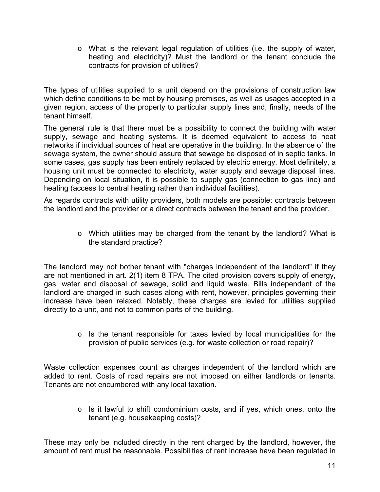o What is the relevant legal regulation of utilities (i.e. the supply of water, heating and electricity)? Must the landlord or the tenant conclude the contracts for provision of utilities?

The types of utilities supplied to a unit depend on the provisions of construction law which define conditions to be met by housing premises, as well as usages accepted in a given region, access of the property to particular supply lines and, finally, needs of the tenant himself.

The general rule is that there must be a possibility to connect the building with water supply, sewage and heating systems. It is deemed equivalent to access to heat networks if individual sources of heat are operative in the building. In the absence of the sewage system, the owner should assure that sewage be disposed of in septic tanks. In some cases, gas supply has been entirely replaced by electric energy. Most definitely, a housing unit must be connected to electricity, water supply and sewage disposal lines. Depending on local situation, it is possible to supply gas (connection to gas line) and heating (access to central heating rather than individual facilities).

As regards contracts with utility providers, both models are possible: contracts between the landlord and the provider or a direct contracts between the tenant and the provider.

> o Which utilities may be charged from the tenant by the landlord? What is the standard practice?

The landlord may not bother tenant with "charges independent of the landlord" if they are not mentioned in art. 2(1) item 8 TPA. The cited provision covers supply of energy, gas, water and disposal of sewage, solid and liquid waste. Bills independent of the landlord are charged in such cases along with rent, however, principles governing their increase have been relaxed. Notably, these charges are levied for utilities supplied directly to a unit, and not to common parts of the building.

> o Is the tenant responsible for taxes levied by local municipalities for the provision of public services (e.g. for waste collection or road repair)?

Waste collection expenses count as charges independent of the landlord which are added to rent. Costs of road repairs are not imposed on either landlords or tenants. Tenants are not encumbered with any local taxation.

> o Is it lawful to shift condominium costs, and if yes, which ones, onto the tenant (e.g. housekeeping costs)?

These may only be included directly in the rent charged by the landlord, however, the amount of rent must be reasonable. Possibilities of rent increase have been regulated in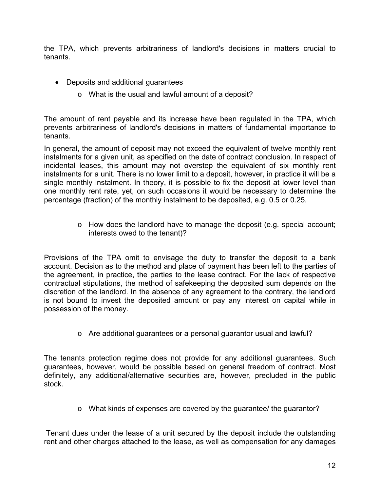the TPA, which prevents arbitrariness of landlord's decisions in matters crucial to tenants.

- Deposits and additional guarantees
	- o What is the usual and lawful amount of a deposit?

The amount of rent payable and its increase have been regulated in the TPA, which prevents arbitrariness of landlord's decisions in matters of fundamental importance to tenants.

In general, the amount of deposit may not exceed the equivalent of twelve monthly rent instalments for a given unit, as specified on the date of contract conclusion. In respect of incidental leases, this amount may not overstep the equivalent of six monthly rent instalments for a unit. There is no lower limit to a deposit, however, in practice it will be a single monthly instalment. In theory, it is possible to fix the deposit at lower level than one monthly rent rate, yet, on such occasions it would be necessary to determine the percentage (fraction) of the monthly instalment to be deposited, e.g. 0.5 or 0.25.

> o How does the landlord have to manage the deposit (e.g. special account; interests owed to the tenant)?

Provisions of the TPA omit to envisage the duty to transfer the deposit to a bank account. Decision as to the method and place of payment has been left to the parties of the agreement, in practice, the parties to the lease contract. For the lack of respective contractual stipulations, the method of safekeeping the deposited sum depends on the discretion of the landlord. In the absence of any agreement to the contrary, the landlord is not bound to invest the deposited amount or pay any interest on capital while in possession of the money.

o Are additional guarantees or a personal guarantor usual and lawful?

The tenants protection regime does not provide for any additional guarantees. Such guarantees, however, would be possible based on general freedom of contract. Most definitely, any additional/alternative securities are, however, precluded in the public stock.

 $\circ$  What kinds of expenses are covered by the quarantee/ the quarantor?

 Tenant dues under the lease of a unit secured by the deposit include the outstanding rent and other charges attached to the lease, as well as compensation for any damages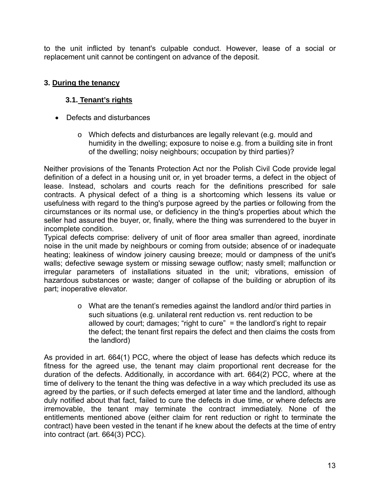to the unit inflicted by tenant's culpable conduct. However, lease of a social or replacement unit cannot be contingent on advance of the deposit.

# **3. During the tenancy**

# **3.1. Tenant's rights**

- Defects and disturbances
	- o Which defects and disturbances are legally relevant (e.g. mould and humidity in the dwelling; exposure to noise e.g. from a building site in front of the dwelling; noisy neighbours; occupation by third parties)?

Neither provisions of the Tenants Protection Act nor the Polish Civil Code provide legal definition of a defect in a housing unit or, in yet broader terms, a defect in the object of lease. Instead, scholars and courts reach for the definitions prescribed for sale contracts. A physical defect of a thing is a shortcoming which lessens its value or usefulness with regard to the thing's purpose agreed by the parties or following from the circumstances or its normal use, or deficiency in the thing's properties about which the seller had assured the buyer, or, finally, where the thing was surrendered to the buyer in incomplete condition.

Typical defects comprise: delivery of unit of floor area smaller than agreed, inordinate noise in the unit made by neighbours or coming from outside; absence of or inadequate heating; leakiness of window joinery causing breeze; mould or dampness of the unit's walls; defective sewage system or missing sewage outflow; nasty smell; malfunction or irregular parameters of installations situated in the unit; vibrations, emission of hazardous substances or waste; danger of collapse of the building or abruption of its part; inoperative elevator.

> o What are the tenant's remedies against the landlord and/or third parties in such situations (e.g. unilateral rent reduction vs. rent reduction to be allowed by court; damages; "right to cure" = the landlord's right to repair the defect; the tenant first repairs the defect and then claims the costs from the landlord)

As provided in art. 664(1) PCC, where the object of lease has defects which reduce its fitness for the agreed use, the tenant may claim proportional rent decrease for the duration of the defects. Additionally, in accordance with art. 664(2) PCC, where at the time of delivery to the tenant the thing was defective in a way which precluded its use as agreed by the parties, or if such defects emerged at later time and the landlord, although duly notified about that fact, failed to cure the defects in due time, or where defects are irremovable, the tenant may terminate the contract immediately. None of the entitlements mentioned above (either claim for rent reduction or right to terminate the contract) have been vested in the tenant if he knew about the defects at the time of entry into contract (art. 664(3) PCC).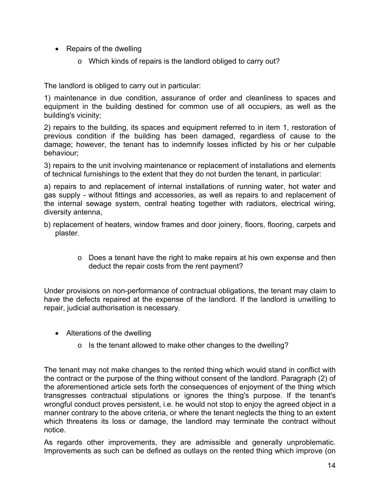- Repairs of the dwelling
	- o Which kinds of repairs is the landlord obliged to carry out?

The landlord is obliged to carry out in particular:

1) maintenance in due condition, assurance of order and cleanliness to spaces and equipment in the building destined for common use of all occupiers, as well as the building's vicinity;

2) repairs to the building, its spaces and equipment referred to in item 1, restoration of previous condition if the building has been damaged, regardless of cause to the damage; however, the tenant has to indemnify losses inflicted by his or her culpable behaviour;

3) repairs to the unit involving maintenance or replacement of installations and elements of technical furnishings to the extent that they do not burden the tenant, in particular:

a) repairs to and replacement of internal installations of running water, hot water and gas supply - without fittings and accessories, as well as repairs to and replacement of the internal sewage system, central heating together with radiators, electrical wiring, diversity antenna,

- b) replacement of heaters, window frames and door joinery, floors, flooring, carpets and plaster.
	- o Does a tenant have the right to make repairs at his own expense and then deduct the repair costs from the rent payment?

Under provisions on non-performance of contractual obligations, the tenant may claim to have the defects repaired at the expense of the landlord. If the landlord is unwilling to repair, judicial authorisation is necessary.

- Alterations of the dwelling
	- o Is the tenant allowed to make other changes to the dwelling?

The tenant may not make changes to the rented thing which would stand in conflict with the contract or the purpose of the thing without consent of the landlord. Paragraph (2) of the aforementioned article sets forth the consequences of enjoyment of the thing which transgresses contractual stipulations or ignores the thing's purpose. If the tenant's wrongful conduct proves persistent, i.e. he would not stop to enjoy the agreed object in a manner contrary to the above criteria, or where the tenant neglects the thing to an extent which threatens its loss or damage, the landlord may terminate the contract without notice.

As regards other improvements, they are admissible and generally unproblematic. Improvements as such can be defined as outlays on the rented thing which improve (on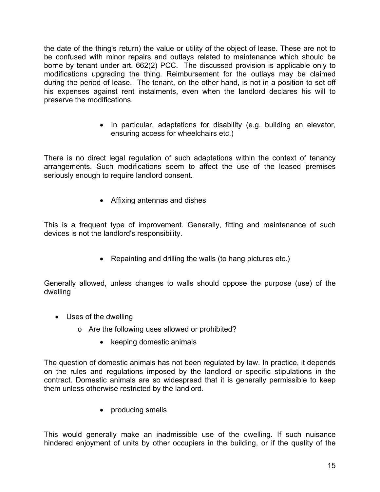the date of the thing's return) the value or utility of the object of lease. These are not to be confused with minor repairs and outlays related to maintenance which should be borne by tenant under art. 662(2) PCC. The discussed provision is applicable only to modifications upgrading the thing. Reimbursement for the outlays may be claimed during the period of lease. The tenant, on the other hand, is not in a position to set off his expenses against rent instalments, even when the landlord declares his will to preserve the modifications.

> • In particular, adaptations for disability (e.g. building an elevator, ensuring access for wheelchairs etc.)

There is no direct legal regulation of such adaptations within the context of tenancy arrangements. Such modifications seem to affect the use of the leased premises seriously enough to require landlord consent.

Affixing antennas and dishes

This is a frequent type of improvement. Generally, fitting and maintenance of such devices is not the landlord's responsibility.

• Repainting and drilling the walls (to hang pictures etc.)

Generally allowed, unless changes to walls should oppose the purpose (use) of the dwelling

- Uses of the dwelling
	- o Are the following uses allowed or prohibited?
		- keeping domestic animals

The question of domestic animals has not been regulated by law. In practice, it depends on the rules and regulations imposed by the landlord or specific stipulations in the contract. Domestic animals are so widespread that it is generally permissible to keep them unless otherwise restricted by the landlord.

• producing smells

This would generally make an inadmissible use of the dwelling. If such nuisance hindered enjoyment of units by other occupiers in the building, or if the quality of the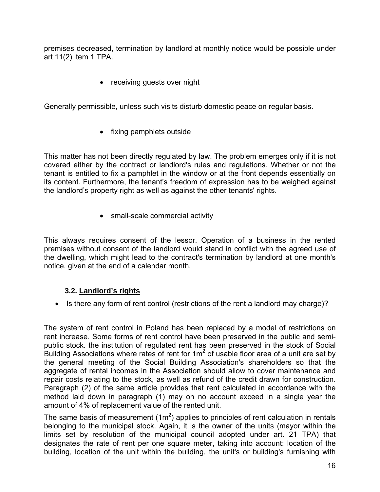premises decreased, termination by landlord at monthly notice would be possible under art 11(2) item 1 TPA.

• receiving guests over night

Generally permissible, unless such visits disturb domestic peace on regular basis.

• fixing pamphlets outside

This matter has not been directly regulated by law. The problem emerges only if it is not covered either by the contract or landlord's rules and regulations. Whether or not the tenant is entitled to fix a pamphlet in the window or at the front depends essentially on its content. Furthermore, the tenant's freedom of expression has to be weighed against the landlord's property right as well as against the other tenants' rights.

• small-scale commercial activity

This always requires consent of the lessor. Operation of a business in the rented premises without consent of the landlord would stand in conflict with the agreed use of the dwelling, which might lead to the contract's termination by landlord at one month's notice, given at the end of a calendar month.

#### **3.2. Landlord's rights**

• Is there any form of rent control (restrictions of the rent a landlord may charge)?

The system of rent control in Poland has been replaced by a model of restrictions on rent increase. Some forms of rent control have been preserved in the public and semipublic stock. the institution of regulated rent has been preserved in the stock of Social Building Associations where rates of rent for 1m<sup>2</sup> of usable floor area of a unit are set by the general meeting of the Social Building Association's shareholders so that the aggregate of rental incomes in the Association should allow to cover maintenance and repair costs relating to the stock, as well as refund of the credit drawn for construction. Paragraph (2) of the same article provides that rent calculated in accordance with the method laid down in paragraph (1) may on no account exceed in a single year the amount of 4% of replacement value of the rented unit.

The same basis of measurement (1m<sup>2</sup>) applies to principles of rent calculation in rentals belonging to the municipal stock. Again, it is the owner of the units (mayor within the limits set by resolution of the municipal council adopted under art. 21 TPA) that designates the rate of rent per one square meter, taking into account: location of the building, location of the unit within the building, the unit's or building's furnishing with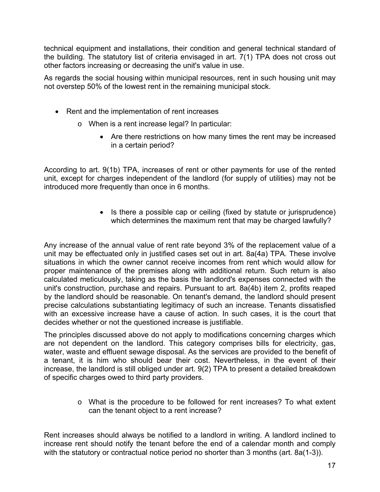technical equipment and installations, their condition and general technical standard of the building. The statutory list of criteria envisaged in art. 7(1) TPA does not cross out other factors increasing or decreasing the unit's value in use.

As regards the social housing within municipal resources, rent in such housing unit may not overstep 50% of the lowest rent in the remaining municipal stock.

- Rent and the implementation of rent increases
	- o When is a rent increase legal? In particular:
		- Are there restrictions on how many times the rent may be increased in a certain period?

According to art. 9(1b) TPA, increases of rent or other payments for use of the rented unit, except for charges independent of the landlord (for supply of utilities) may not be introduced more frequently than once in 6 months.

> • Is there a possible cap or ceiling (fixed by statute or jurisprudence) which determines the maximum rent that may be charged lawfully?

Any increase of the annual value of rent rate beyond 3% of the replacement value of a unit may be effectuated only in justified cases set out in art. 8a(4a) TPA. These involve situations in which the owner cannot receive incomes from rent which would allow for proper maintenance of the premises along with additional return. Such return is also calculated meticulously, taking as the basis the landlord's expenses connected with the unit's construction, purchase and repairs. Pursuant to art. 8a(4b) item 2, profits reaped by the landlord should be reasonable. On tenant's demand, the landlord should present precise calculations substantiating legitimacy of such an increase. Tenants dissatisfied with an excessive increase have a cause of action. In such cases, it is the court that decides whether or not the questioned increase is justifiable.

The principles discussed above do not apply to modifications concerning charges which are not dependent on the landlord. This category comprises bills for electricity, gas, water, waste and effluent sewage disposal. As the services are provided to the benefit of a tenant, it is him who should bear their cost. Nevertheless, in the event of their increase, the landlord is still obliged under art. 9(2) TPA to present a detailed breakdown of specific charges owed to third party providers.

> o What is the procedure to be followed for rent increases? To what extent can the tenant object to a rent increase?

Rent increases should always be notified to a landlord in writing. A landlord inclined to increase rent should notify the tenant before the end of a calendar month and comply with the statutory or contractual notice period no shorter than 3 months (art. 8a(1-3)).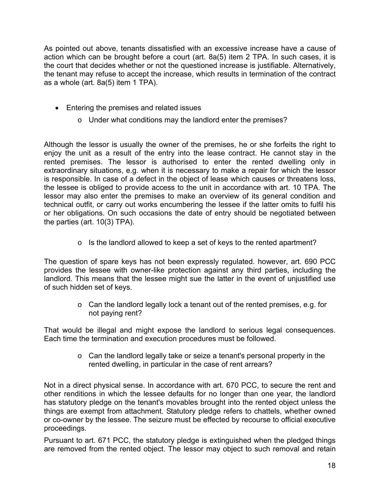As pointed out above, tenants dissatisfied with an excessive increase have a cause of action which can be brought before a court (art. 8a(5) item 2 TPA. In such cases, it is the court that decides whether or not the questioned increase is justifiable. Alternatively, the tenant may refuse to accept the increase, which results in termination of the contract as a whole (art. 8a(5) item 1 TPA).

- Entering the premises and related issues
	- o Under what conditions may the landlord enter the premises?

Although the lessor is usually the owner of the premises, he or she forfeits the right to enjoy the unit as a result of the entry into the lease contract. He cannot stay in the rented premises. The lessor is authorised to enter the rented dwelling only in extraordinary situations, e.g. when it is necessary to make a repair for which the lessor is responsible. In case of a defect in the object of lease which causes or threatens loss, the lessee is obliged to provide access to the unit in accordance with art. 10 TPA. The lessor may also enter the premises to make an overview of its general condition and technical outfit, or carry out works encumbering the lessee if the latter omits to fulfil his or her obligations. On such occasions the date of entry should be negotiated between the parties (art. 10(3) TPA).

o Is the landlord allowed to keep a set of keys to the rented apartment?

The question of spare keys has not been expressly regulated. however, art. 690 PCC provides the lessee with owner-like protection against any third parties, including the landlord. This means that the lessee might sue the latter in the event of unjustified use of such hidden set of keys.

> o Can the landlord legally lock a tenant out of the rented premises, e.g. for not paying rent?

That would be illegal and might expose the landlord to serious legal consequences. Each time the termination and execution procedures must be followed.

> o Can the landlord legally take or seize a tenant's personal property in the rented dwelling, in particular in the case of rent arrears?

Not in a direct physical sense. In accordance with art. 670 PCC, to secure the rent and other renditions in which the lessee defaults for no longer than one year, the landlord has statutory pledge on the tenant's movables brought into the rented object unless the things are exempt from attachment. Statutory pledge refers to chattels, whether owned or co-owner by the lessee. The seizure must be effected by recourse to official executive proceedings.

Pursuant to art. 671 PCC, the statutory pledge is extinguished when the pledged things are removed from the rented object. The lessor may object to such removal and retain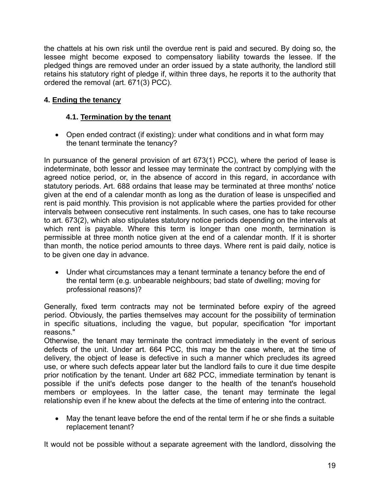the chattels at his own risk until the overdue rent is paid and secured. By doing so, the lessee might become exposed to compensatory liability towards the lessee. If the pledged things are removed under an order issued by a state authority, the landlord still retains his statutory right of pledge if, within three days, he reports it to the authority that ordered the removal (art. 671(3) PCC).

# **4. Ending the tenancy**

## **4.1. Termination by the tenant**

• Open ended contract (if existing): under what conditions and in what form may the tenant terminate the tenancy?

In pursuance of the general provision of art 673(1) PCC), where the period of lease is indeterminate, both lessor and lessee may terminate the contract by complying with the agreed notice period, or, in the absence of accord in this regard, in accordance with statutory periods. Art. 688 ordains that lease may be terminated at three months' notice given at the end of a calendar month as long as the duration of lease is unspecified and rent is paid monthly. This provision is not applicable where the parties provided for other intervals between consecutive rent instalments. In such cases, one has to take recourse to art. 673(2), which also stipulates statutory notice periods depending on the intervals at which rent is payable. Where this term is longer than one month, termination is permissible at three month notice given at the end of a calendar month. If it is shorter than month, the notice period amounts to three days. Where rent is paid daily, notice is to be given one day in advance.

 Under what circumstances may a tenant terminate a tenancy before the end of the rental term (e.g. unbearable neighbours; bad state of dwelling; moving for professional reasons)?

Generally, fixed term contracts may not be terminated before expiry of the agreed period. Obviously, the parties themselves may account for the possibility of termination in specific situations, including the vague, but popular, specification "for important reasons."

Otherwise, the tenant may terminate the contract immediately in the event of serious defects of the unit. Under art. 664 PCC, this may be the case where, at the time of delivery, the object of lease is defective in such a manner which precludes its agreed use, or where such defects appear later but the landlord fails to cure it due time despite prior notification by the tenant. Under art 682 PCC, immediate termination by tenant is possible if the unit's defects pose danger to the health of the tenant's household members or employees. In the latter case, the tenant may terminate the legal relationship even if he knew about the defects at the time of entering into the contract.

 May the tenant leave before the end of the rental term if he or she finds a suitable replacement tenant?

It would not be possible without a separate agreement with the landlord, dissolving the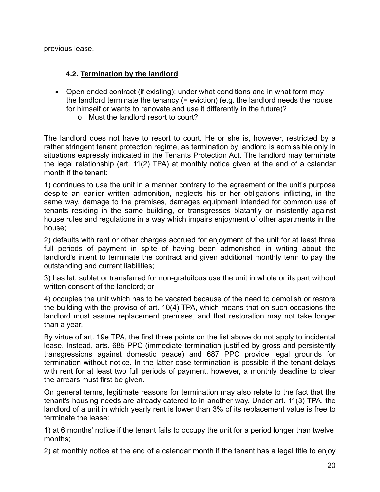previous lease.

## **4.2. Termination by the landlord**

- Open ended contract (if existing): under what conditions and in what form may the landlord terminate the tenancy (= eviction) (e.g. the landlord needs the house for himself or wants to renovate and use it differently in the future)?
	- o Must the landlord resort to court?

The landlord does not have to resort to court. He or she is, however, restricted by a rather stringent tenant protection regime, as termination by landlord is admissible only in situations expressly indicated in the Tenants Protection Act. The landlord may terminate the legal relationship (art. 11(2) TPA) at monthly notice given at the end of a calendar month if the tenant:

1) continues to use the unit in a manner contrary to the agreement or the unit's purpose despite an earlier written admonition, neglects his or her obligations inflicting, in the same way, damage to the premises, damages equipment intended for common use of tenants residing in the same building, or transgresses blatantly or insistently against house rules and regulations in a way which impairs enjoyment of other apartments in the house;

2) defaults with rent or other charges accrued for enjoyment of the unit for at least three full periods of payment in spite of having been admonished in writing about the landlord's intent to terminate the contract and given additional monthly term to pay the outstanding and current liabilities;

3) has let, sublet or transferred for non-gratuitous use the unit in whole or its part without written consent of the landlord; or

4) occupies the unit which has to be vacated because of the need to demolish or restore the building with the proviso of art. 10(4) TPA, which means that on such occasions the landlord must assure replacement premises, and that restoration may not take longer than a year.

By virtue of art. 19e TPA, the first three points on the list above do not apply to incidental lease. Instead, arts. 685 PPC (immediate termination justified by gross and persistently transgressions against domestic peace) and 687 PPC provide legal grounds for termination without notice. In the latter case termination is possible if the tenant delays with rent for at least two full periods of payment, however, a monthly deadline to clear the arrears must first be given.

On general terms, legitimate reasons for termination may also relate to the fact that the tenant's housing needs are already catered to in another way. Under art. 11(3) TPA, the landlord of a unit in which yearly rent is lower than 3% of its replacement value is free to terminate the lease:

1) at 6 months' notice if the tenant fails to occupy the unit for a period longer than twelve months;

2) at monthly notice at the end of a calendar month if the tenant has a legal title to enjoy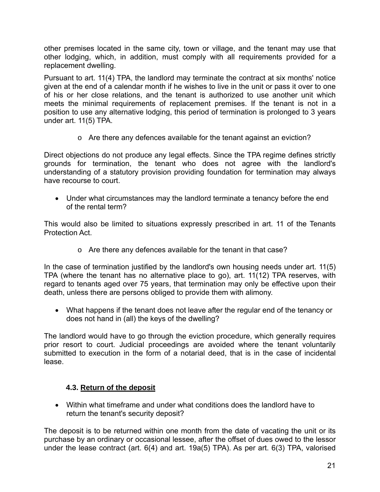other premises located in the same city, town or village, and the tenant may use that other lodging, which, in addition, must comply with all requirements provided for a replacement dwelling.

Pursuant to art. 11(4) TPA, the landlord may terminate the contract at six months' notice given at the end of a calendar month if he wishes to live in the unit or pass it over to one of his or her close relations, and the tenant is authorized to use another unit which meets the minimal requirements of replacement premises. If the tenant is not in a position to use any alternative lodging, this period of termination is prolonged to 3 years under art. 11(5) TPA.

 $\circ$  Are there any defences available for the tenant against an eviction?

Direct objections do not produce any legal effects. Since the TPA regime defines strictly grounds for termination, the tenant who does not agree with the landlord's understanding of a statutory provision providing foundation for termination may always have recourse to court.

 Under what circumstances may the landlord terminate a tenancy before the end of the rental term?

This would also be limited to situations expressly prescribed in art. 11 of the Tenants Protection Act.

o Are there any defences available for the tenant in that case?

In the case of termination justified by the landlord's own housing needs under art. 11(5) TPA (where the tenant has no alternative place to go), art. 11(12) TPA reserves, with regard to tenants aged over 75 years, that termination may only be effective upon their death, unless there are persons obliged to provide them with alimony.

 What happens if the tenant does not leave after the regular end of the tenancy or does not hand in (all) the keys of the dwelling?

The landlord would have to go through the eviction procedure, which generally requires prior resort to court. Judicial proceedings are avoided where the tenant voluntarily submitted to execution in the form of a notarial deed, that is in the case of incidental lease.

# **4.3. Return of the deposit**

 Within what timeframe and under what conditions does the landlord have to return the tenant's security deposit?

The deposit is to be returned within one month from the date of vacating the unit or its purchase by an ordinary or occasional lessee, after the offset of dues owed to the lessor under the lease contract (art. 6(4) and art. 19a(5) TPA). As per art. 6(3) TPA, valorised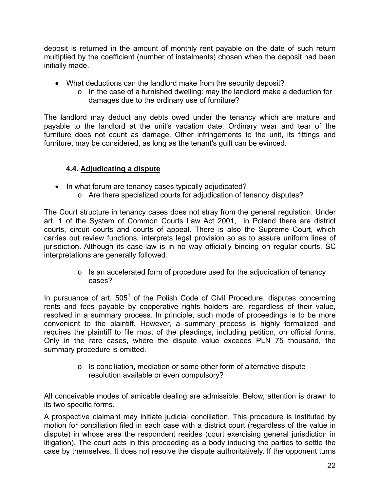deposit is returned in the amount of monthly rent payable on the date of such return multiplied by the coefficient (number of instalments) chosen when the deposit had been initially made.

- What deductions can the landlord make from the security deposit?
	- o In the case of a furnished dwelling: may the landlord make a deduction for damages due to the ordinary use of furniture?

The landlord may deduct any debts owed under the tenancy which are mature and payable to the landlord at the unit's vacation date. Ordinary wear and tear of the furniture does not count as damage. Other infringements to the unit, its fittings and furniture, may be considered, as long as the tenant's guilt can be evinced.

#### **4.4. Adjudicating a dispute**

- In what forum are tenancy cases typically adjudicated?
	- o Are there specialized courts for adjudication of tenancy disputes?

The Court structure in tenancy cases does not stray from the general regulation. Under art. 1 of the System of Common Courts Law Act 2001, in Poland there are district courts, circuit courts and courts of appeal. There is also the Supreme Court, which carries out review functions, interprets legal provision so as to assure uniform lines of jurisdiction. Although its case-law is in no way officially binding on regular courts, SC interpretations are generally followed.

> o Is an accelerated form of procedure used for the adjudication of tenancy cases?

In pursuance of art.  $505<sup>1</sup>$  of the Polish Code of Civil Procedure, disputes concerning rents and fees payable by cooperative rights holders are, regardless of their value, resolved in a summary process. In principle, such mode of proceedings is to be more convenient to the plaintiff. However, a summary process is highly formalized and requires the plaintiff to file most of the pleadings, including petition, on official forms. Only in the rare cases, where the dispute value exceeds PLN 75 thousand, the summary procedure is omitted.

> o Is conciliation, mediation or some other form of alternative dispute resolution available or even compulsory?

All conceivable modes of amicable dealing are admissible. Below, attention is drawn to its two specific forms.

A prospective claimant may initiate judicial conciliation. This procedure is instituted by motion for conciliation filed in each case with a district court (regardless of the value in dispute) in whose area the respondent resides (court exercising general jurisdiction in litigation). The court acts in this proceeding as a body inducing the parties to settle the case by themselves. It does not resolve the dispute authoritatively. If the opponent turns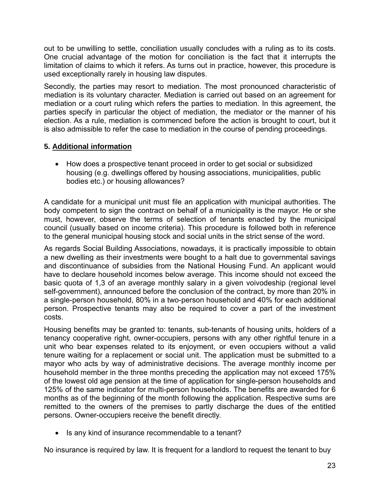out to be unwilling to settle, conciliation usually concludes with a ruling as to its costs. One crucial advantage of the motion for conciliation is the fact that it interrupts the limitation of claims to which it refers. As turns out in practice, however, this procedure is used exceptionally rarely in housing law disputes.

Secondly, the parties may resort to mediation. The most pronounced characteristic of mediation is its voluntary character. Mediation is carried out based on an agreement for mediation or a court ruling which refers the parties to mediation. In this agreement, the parties specify in particular the object of mediation, the mediator or the manner of his election. As a rule, mediation is commenced before the action is brought to court, but it is also admissible to refer the case to mediation in the course of pending proceedings.

#### **5. Additional information**

• How does a prospective tenant proceed in order to get social or subsidized housing (e.g. dwellings offered by housing associations, municipalities, public bodies etc.) or housing allowances?

A candidate for a municipal unit must file an application with municipal authorities. The body competent to sign the contract on behalf of a municipality is the mayor. He or she must, however, observe the terms of selection of tenants enacted by the municipal council (usually based on income criteria). This procedure is followed both in reference to the general municipal housing stock and social units in the strict sense of the word.

As regards Social Building Associations, nowadays, it is practically impossible to obtain a new dwelling as their investments were bought to a halt due to governmental savings and discontinuance of subsidies from the National Housing Fund. An applicant would have to declare household incomes below average. This income should not exceed the basic quota of 1,3 of an average monthly salary in a given voivodeship (regional level self-government), announced before the conclusion of the contract, by more than 20% in a single-person household, 80% in a two-person household and 40% for each additional person. Prospective tenants may also be required to cover a part of the investment costs.

Housing benefits may be granted to: tenants, sub-tenants of housing units, holders of a tenancy cooperative right, owner-occupiers, persons with any other rightful tenure in a unit who bear expenses related to its enjoyment, or even occupiers without a valid tenure waiting for a replacement or social unit. The application must be submitted to a mayor who acts by way of administrative decisions. The average monthly income per household member in the three months preceding the application may not exceed 175% of the lowest old age pension at the time of application for single-person households and 125% of the same indicator for multi-person households. The benefits are awarded for 6 months as of the beginning of the month following the application. Respective sums are remitted to the owners of the premises to partly discharge the dues of the entitled persons. Owner-occupiers receive the benefit directly.

• Is any kind of insurance recommendable to a tenant?

No insurance is required by law. It is frequent for a landlord to request the tenant to buy